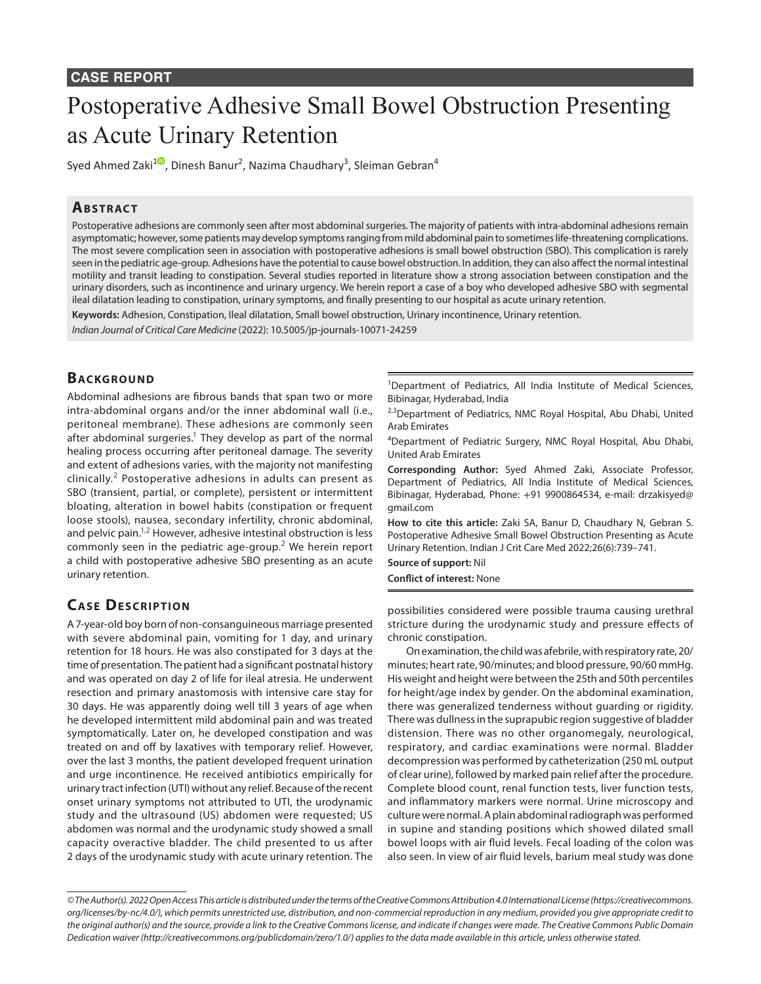#### **CASE REPORT**

# Postoperative Adhesive Small Bowel Obstruction Presenting as Acute Urinary Retention

Syed Ahmed Zaki $^{10}$  $^{10}$  $^{10}$ , Dinesh Banur<sup>2</sup>, Nazima Chaudhary<sup>3</sup>, Sleiman Gebran $^4$ 

### **ABSTRACT**

Postoperative adhesions are commonly seen after most abdominal surgeries. The majority of patients with intra-abdominal adhesions remain asymptomatic; however, some patients may develop symptoms ranging from mild abdominal pain to sometimes life-threatening complications. The most severe complication seen in association with postoperative adhesions is small bowel obstruction (SBO). This complication is rarely seen in the pediatric age-group. Adhesions have the potential to cause bowel obstruction. In addition, they can also affect the normal intestinal motility and transit leading to constipation. Several studies reported in literature show a strong association between constipation and the urinary disorders, such as incontinence and urinary urgency. We herein report a case of a boy who developed adhesive SBO with segmental ileal dilatation leading to constipation, urinary symptoms, and finally presenting to our hospital as acute urinary retention.

**Keywords:** Adhesion, Constipation, Ileal dilatation, Small bowel obstruction, Urinary incontinence, Urinary retention.

*Indian Journal of Critical Care Medicine* (2022): 10.5005/jp-journals-10071-24259

## **BACKGROUND**

Abdominal adhesions are fibrous bands that span two or more intra-abdominal organs and/or the inner abdominal wall (i.e., peritoneal membrane). These adhesions are commonly seen after abdominal surgeries.<sup>1</sup> They develop as part of the normal healing process occurring after peritoneal damage. The severity and extent of adhesions varies, with the majority not manifesting clinically.<sup>[2](#page-2-1)</sup> Postoperative adhesions in adults can present as SBO (transient, partial, or complete), persistent or intermittent bloating, alteration in bowel habits (constipation or frequent loose stools), nausea, secondary infertility, chronic abdominal, and pelvic pain.<sup>1,[2](#page-2-1)</sup> However, adhesive intestinal obstruction is less commonly seen in the pediatric age-group.<sup>[2](#page-2-1)</sup> We herein report a child with postoperative adhesive SBO presenting as an acute urinary retention.

# **CASE DESCRIPTION**

A 7-year-old boy born of non-consanguineous marriage presented with severe abdominal pain, vomiting for 1 day, and urinary retention for 18 hours. He was also constipated for 3 days at the time of presentation. The patient had a significant postnatal history and was operated on day 2 of life for ileal atresia. He underwent resection and primary anastomosis with intensive care stay for 30 days. He was apparently doing well till 3 years of age when he developed intermittent mild abdominal pain and was treated symptomatically. Later on, he developed constipation and was treated on and off by laxatives with temporary relief. However, over the last 3 months, the patient developed frequent urination and urge incontinence. He received antibiotics empirically for urinary tract infection (UTI) without any relief. Because of the recent onset urinary symptoms not attributed to UTI, the urodynamic study and the ultrasound (US) abdomen were requested; US abdomen was normal and the urodynamic study showed a small capacity overactive bladder. The child presented to us after 2 days of the urodynamic study with acute urinary retention. The

<sup>1</sup>Department of Pediatrics, All India Institute of Medical Sciences, Bibinagar, Hyderabad, India

<sup>2,3</sup>Department of Pediatrics, NMC Royal Hospital, Abu Dhabi, United Arab Emirates

4 Department of Pediatric Surgery, NMC Royal Hospital, Abu Dhabi, United Arab Emirates

**Corresponding Author:** Syed Ahmed Zaki, Associate Professor, Department of Pediatrics, All India Institute of Medical Sciences, Bibinagar, Hyderabad, Phone: +91 9900864534, e-mail: drzakisyed@ gmail.com

**How to cite this article:** Zaki SA, Banur D, Chaudhary N, Gebran S. Postoperative Adhesive Small Bowel Obstruction Presenting as Acute Urinary Retention. Indian J Crit Care Med 2022;26(6):739–741.

**Source of support:** Nil **Conflict of interest:** None

possibilities considered were possible trauma causing urethral stricture during the urodynamic study and pressure effects of chronic constipation.

On examination, the child was afebrile, with respiratory rate, 20/ minutes; heart rate, 90/minutes; and blood pressure, 90/60 mmHg. His weight and height were between the 25th and 50th percentiles for height/age index by gender. On the abdominal examination, there was generalized tenderness without guarding or rigidity. There was dullness in the suprapubic region suggestive of bladder distension. There was no other organomegaly, neurological, respiratory, and cardiac examinations were normal. Bladder decompression was performed by catheterization (250 mL output of clear urine), followed by marked pain relief after the procedure. Complete blood count, renal function tests, liver function tests, and inflammatory markers were normal. Urine microscopy and culture were normal. A plain abdominal radiograph was performed in supine and standing positions which showed dilated small bowel loops with air fluid levels. Fecal loading of the colon was also seen. In view of air fluid levels, barium meal study was done

*<sup>©</sup> The Author(s). 2022 Open Access This article is distributed under the terms of the Creative Commons Attribution 4.0 International License (https://creativecommons. org/licenses/by-nc/4.0/), which permits unrestricted use, distribution, and non-commercial reproduction in any medium, provided you give appropriate credit to the original author(s) and the source, provide a link to the Creative Commons license, and indicate if changes were made. The Creative Commons Public Domain Dedication waiver (http://creativecommons.org/publicdomain/zero/1.0/) applies to the data made available in this article, unless otherwise stated.*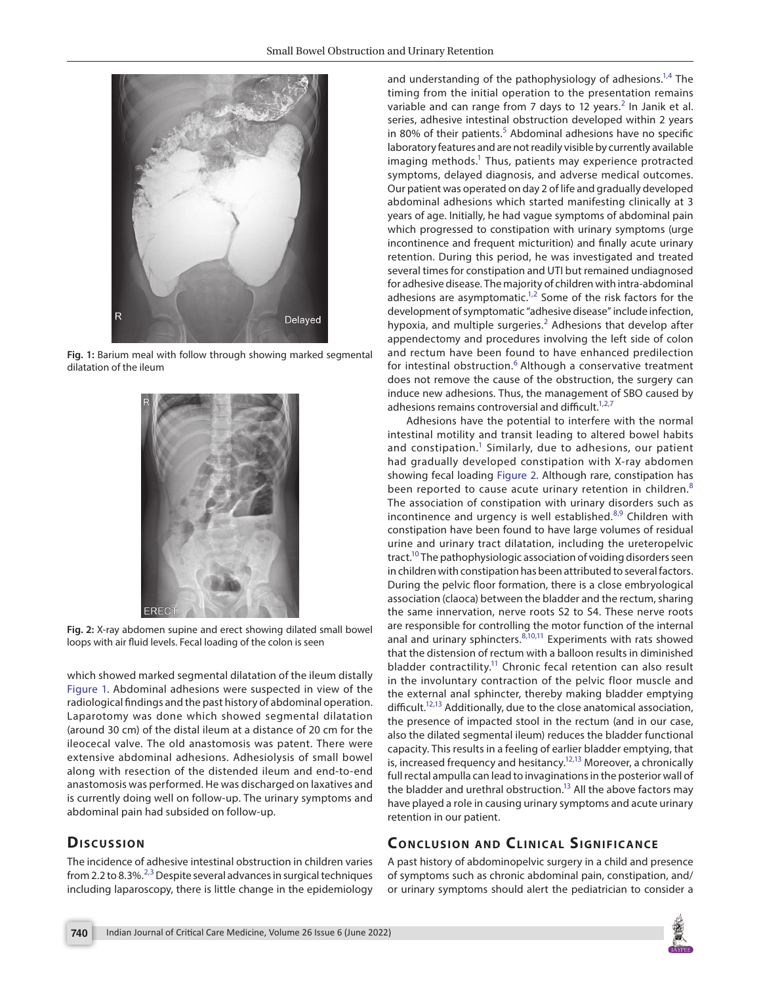

**Fig. 1:** Barium meal with follow through showing marked segmental dilatation of the ileum

<span id="page-1-0"></span>

**Fig. 2:** X-ray abdomen supine and erect showing dilated small bowel loops with air fluid levels. Fecal loading of the colon is seen

<span id="page-1-1"></span>which showed marked segmental dilatation of the ileum distally [Figure 1](#page-1-0). Abdominal adhesions were suspected in view of the radiological findings and the past history of abdominal operation. Laparotomy was done which showed segmental dilatation (around 30 cm) of the distal ileum at a distance of 20 cm for the ileocecal valve. The old anastomosis was patent. There were extensive abdominal adhesions. Adhesiolysis of small bowel along with resection of the distended ileum and end-to-end anastomosis was performed. He was discharged on laxatives and is currently doing well on follow-up. The urinary symptoms and abdominal pain had subsided on follow-up.

# Discussion

The incidence of adhesive intestinal obstruction in children varies from [2](#page-2-1).2 to 8.[3](#page-2-2)%.<sup>2,3</sup> Despite several advances in surgical techniques including laparoscopy, there is little change in the epidemiology

and understanding of the pathophysiology of adhesions.<sup>1,[4](#page-2-3)</sup> The timing from the initial operation to the presentation remains variable and can range from 7 days to 1[2](#page-2-1) years. $^2$  In Janik et al. series, adhesive intestinal obstruction developed within 2 years in 80% of their patients.<sup>[5](#page-2-4)</sup> Abdominal adhesions have no specific laboratory features and are not readily visible by currently available imaging methods.<sup>1</sup> Thus, patients may experience protracted symptoms, delayed diagnosis, and adverse medical outcomes. Our patient was operated on day 2 of life and gradually developed abdominal adhesions which started manifesting clinically at 3 years of age. Initially, he had vague symptoms of abdominal pain which progressed to constipation with urinary symptoms (urge incontinence and frequent micturition) and finally acute urinary retention. During this period, he was investigated and treated several times for constipation and UTI but remained undiagnosed for adhesive disease. The majority of children with intra-abdominal adhesions are asymptomatic. $1,2$  $1,2$  Some of the risk factors for the development of symptomatic "adhesive disease" include infection, hypoxia, and multiple surgeries. $<sup>2</sup>$  $<sup>2</sup>$  $<sup>2</sup>$  Adhesions that develop after</sup> appendectomy and procedures involving the left side of colon and rectum have been found to have enhanced predilection for intestinal obstruction.<sup>[6](#page-2-5)</sup> Although a conservative treatment does not remove the cause of the obstruction, the surgery can induce new adhesions. Thus, the management of SBO caused by adhesions remains controversial and difficult.<sup>1,[2](#page-2-1),[7](#page-2-6)</sup>

Adhesions have the potential to interfere with the normal intestinal motility and transit leading to altered bowel habits and constipation.<sup>1</sup> Similarly, due to adhesions, our patient had gradually developed constipation with X-ray abdomen showing fecal loading [Figure 2.](#page-1-1) Although rare, constipation has been reported to cause acute urinary retention in children.<sup>[8](#page-2-7)</sup> The association of constipation with urinary disorders such as incontinence and urgency is well established.<sup>[8](#page-2-7)[,9](#page-2-8)</sup> Children with constipation have been found to have large volumes of residual urine and urinary tract dilatation, including the ureteropelvic tract.<sup>10</sup> The pathophysiologic association of voiding disorders seen in children with constipation has been attributed to several factors. During the pelvic floor formation, there is a close embryological association (claoca) between the bladder and the rectum, sharing the same innervation, nerve roots S2 to S4. These nerve roots are responsible for controlling the motor function of the internal anal and urinary sphincters.  $8,10,11$  $8,10,11$  $8,10,11$  Experiments with rats showed that the distension of rectum with a balloon results in diminished bladder contractility.<sup>11</sup> Chronic fecal retention can also result in the involuntary contraction of the pelvic floor muscle and the external anal sphincter, thereby making bladder emptying difficult.<sup>12,13</sup> Additionally, due to the close anatomical association, the presence of impacted stool in the rectum (and in our case, also the dilated segmental ileum) reduces the bladder functional capacity. This results in a feeling of earlier bladder emptying, that is, increased frequency and hesitancy.<sup>12[,13](#page-2-12)</sup> Moreover, a chronically full rectal ampulla can lead to invaginations in the posterior wall of the bladder and urethral obstruction.<sup>13</sup> All the above factors may have played a role in causing urinary symptoms and acute urinary retention in our patient.

# **CONCLUSION AND CLINICAL SIGNIFICANCE**

A past history of abdominopelvic surgery in a child and presence of symptoms such as chronic abdominal pain, constipation, and/ or urinary symptoms should alert the pediatrician to consider a